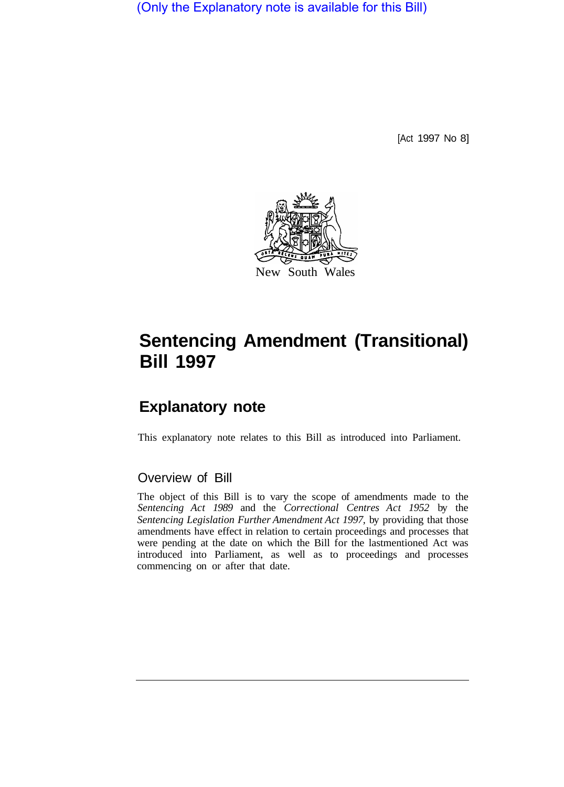(Only the Explanatory note is available for this Bill)

[Act 1997 No 8]



# **Sentencing Amendment (Transitional) Bill 1997**

## **Explanatory note**

This explanatory note relates to this Bill as introduced into Parliament.

### Overview of Bill

The object of this Bill is to vary the scope of amendments made to the *Sentencing Act 1989* and the *Correctional Centres Act 1952* by the *Sentencing Legislation Further Amendment Act 1997,* by providing that those amendments have effect in relation to certain proceedings and processes that were pending at the date on which the Bill for the lastmentioned Act was introduced into Parliament, as well as to proceedings and processes commencing on or after that date.